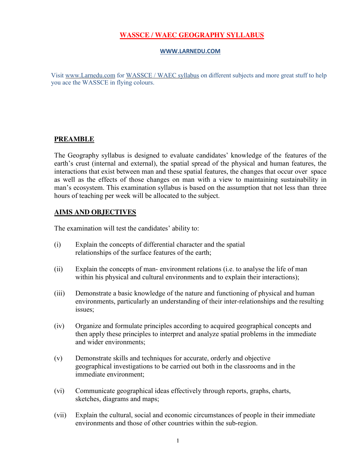# **WASSCE / WAEC GEOGRAPHY SYLLABUS**

#### **[WWW.LARNEDU.COM](http://www.larnedu.com/)**

Visit [www.Larnedu.com](http://www.larnedu.com/) for [WASSCE / WAEC syllabus](http://www.larnedu.com/wassce-waec-syllabus/) on different subjects and more great stuff to help you ace the WASSCE in flying colours.

### **PREAMBLE**

The Geography syllabus is designed to evaluate candidates' knowledge of the features of the earth's crust (internal and external), the spatial spread of the physical and human features, the interactions that exist between man and these spatial features, the changes that occur over space as well as the effects of those changes on man with a view to maintaining sustainability in man's ecosystem. This examination syllabus is based on the assumption that not less than three hours of teaching per week will be allocated to the subject.

## **AIMS AND [OBJECTIVES](http://www.larnedu.com/wassce-waec-syllabus/)**

The examination will test the candidates' ability to:

- (i) Explain the concepts of differential character and the spatial relationships of the surface features of the earth;
- (ii) Explain the concepts of man- environment relations (i.e. to analyse the life of man within his physical and cultural environments and to explain their interactions);
- (iii) Demonstrate a basic knowledge of the nature and functioning of physical and human environments, particularly an understanding of their inter-relationships and the resulting issues;
- (iv) Organize and formulate principles according to acquired geographical concepts and then apply these principles to interpret and analyze spatial problems in the immediate and wider environments;
- (v) Demonstrate skills and techniques for accurate, orderly and objective geographical investigations to be carried out both in the classrooms and in the immediate environment;
- (vi) Communicate geographical ideas effectively through reports, graphs, charts, sketches, diagrams and maps;
- (vii) Explain the cultural, social and economic circumstances of people in their immediate environments and those of other countries within the sub-region.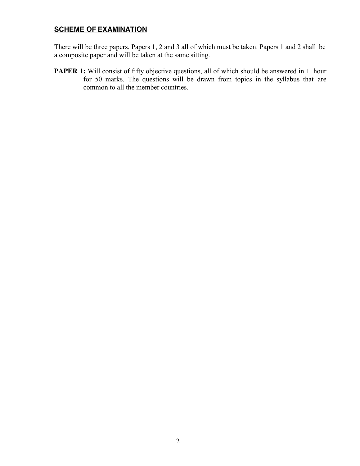# **SCHEME OF EXAMINATION**

There will be three papers, Papers 1, 2 and 3 all of which must be taken. Papers 1 and 2 shall be a composite paper and will be taken at the same sitting.

**PAPER 1:** Will consist of fifty objective questions, all of which should be answered in 1 hour for 50 marks. The questions will be drawn from topics in the syllabus that are common to all the member countries.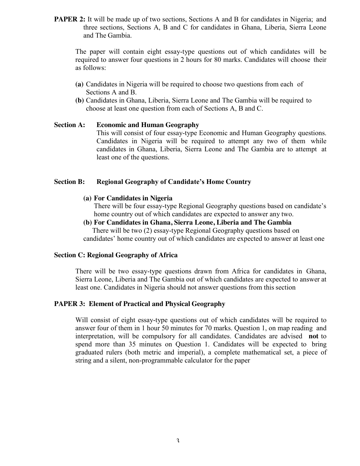**PAPER 2:** It will be made up of two sections, Sections A and B for candidates in Nigeria; and three sections, Sections A, B and C for candidates in Ghana, Liberia, Sierra Leone and The Gambia.

The paper will contain eight essay-type questions out of which candidates will be required to answer four questions in 2 hours for 80 marks. Candidates will choose their as follows:

- **(a)** Candidates in Nigeria will be required to choose two questions from each of Sections A and B.
- **(b)** Candidates in Ghana, Liberia, Sierra Leone and The Gambia will be required to choose at least one question from each of Sections A, B and C.

#### **Section A: Economic and Human Geography**

This will consist of four essay-type Economic and Human Geography questions. Candidates in Nigeria will be required to attempt any two of them while candidates in Ghana, Liberia, Sierra Leone and The Gambia are to attempt at least one of the questions.

#### **Section B: Regional Geography of Candidate's Home Country**

#### **(a) For Candidates in Nigeria**

There will be four essay-type Regional Geography questions based on candidate's home country out of which candidates are expected to answer any two.

**(b) For Candidates in Ghana, Sierra Leone, Liberia and The Gambia** There will be two (2) essay-type Regional Geography questions based on candidates' home country out of which candidates are expected to answer at least one

#### **Section C: Regional Geography of Africa**

There will be two essay-type questions drawn from Africa for candidates in Ghana, Sierra Leone, Liberia and The Gambia out of which candidates are expected to answer at least one. Candidates in Nigeria should not answer questions from this section

#### **PAPER 3: Element of Practical and Physical Geography**

Will consist of eight essay-type questions out of which candidates will be required to answer four of them in 1 hour 50 minutes for 70 marks. Question 1, on map reading and interpretation, will be compulsory for all candidates. Candidates are advised **not** to spend more than 35 minutes on Question 1. Candidates will be expected to bring graduated rulers (both metric and imperial), a complete mathematical set, a piece of string and a silent, non-programmable calculator for the paper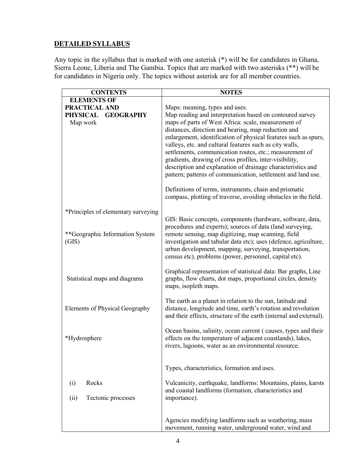# **DETAILED SYLLABUS**

Any topic in the syllabus that is marked with one asterisk (\*) will be for candidates in Ghana, Sierra Leone, Liberia and The Gambia. Topics that are marked with two asterisks (\*\*) will be for candidates in Nigeria only. The topics without asterisk are for all member countries.

| <b>CONTENTS</b>                     | <b>NOTES</b>                                                                                                     |  |
|-------------------------------------|------------------------------------------------------------------------------------------------------------------|--|
| <b>ELEMENTS OF</b>                  |                                                                                                                  |  |
| PRACTICAL AND                       | Maps: meaning, types and uses.                                                                                   |  |
| <b>PHYSICAL</b><br><b>GEOGRAPHY</b> | Map reading and interpretation based on contoured survey                                                         |  |
| Map work                            | maps of parts of West Africa: scale, measurement of                                                              |  |
|                                     | distances, direction and bearing, map reduction and                                                              |  |
|                                     | enlargement, identification of physical features such as spurs,                                                  |  |
|                                     | valleys, etc. and cultural features such as city walls,                                                          |  |
|                                     | settlements, communication routes, etc.; measurement of                                                          |  |
|                                     | gradients, drawing of cross profiles, inter-visibility,                                                          |  |
|                                     | description and explanation of drainage characteristics and                                                      |  |
|                                     | pattern; patterns of communication, settlement and land use.                                                     |  |
|                                     | Definitions of terms, instruments, chain and prismatic                                                           |  |
|                                     | compass, plotting of traverse, avoiding obstacles in the field.                                                  |  |
|                                     |                                                                                                                  |  |
| *Principles of elementary surveying |                                                                                                                  |  |
|                                     | GIS: Basic concepts, components (hardware, software, data,                                                       |  |
| **Geographic Information System     | procedures and experts); sources of data (land surveying,<br>remote sensing, map digitizing, map scanning, field |  |
| (GIS)                               | investigation and tabular data etc); uses (defence, agriculture,                                                 |  |
|                                     | urban development, mapping, surveying, transportation,                                                           |  |
|                                     | census etc), problems (power, personnel, capital etc).                                                           |  |
|                                     |                                                                                                                  |  |
|                                     | Graphical representation of statistical data: Bar graphs, Line                                                   |  |
| Statistical maps and diagrams       | graphs, flow charts, dot maps, proportional circles, density                                                     |  |
|                                     | maps, isopleth maps.                                                                                             |  |
|                                     | The earth as a planet in relation to the sun, latitude and                                                       |  |
| Elements of Physical Geography      | distance, longitude and time, earth's rotation and revolution                                                    |  |
|                                     | and their effects, structure of the earth (internal and external).                                               |  |
|                                     | Ocean basins, salinity, ocean current (causes, types and their                                                   |  |
| *Hydrosphere                        | effects on the temperature of adjacent coastlands), lakes,                                                       |  |
|                                     | rivers, lagoons, water as an environmental resource.                                                             |  |
|                                     |                                                                                                                  |  |
|                                     |                                                                                                                  |  |
|                                     | Types, characteristics, formation and uses.                                                                      |  |
| Rocks<br>(i)                        | Vulcanicity, earthquake, landforms: Mountains, plains, karsts                                                    |  |
|                                     | and coastal landforms (formation, characteristics and                                                            |  |
| Tectonic processes<br>(ii)          | importance).                                                                                                     |  |
|                                     |                                                                                                                  |  |
|                                     | Agencies modifying landforms such as weathering, mass                                                            |  |
|                                     | movement, running water, underground water, wind and                                                             |  |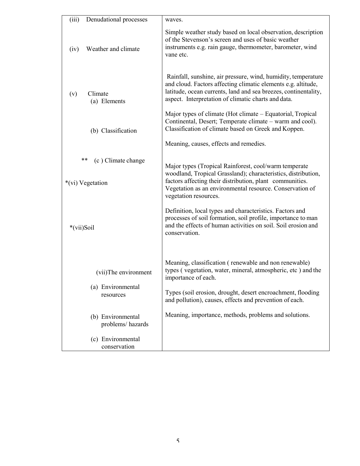| (iii)<br>Denudational processes              | waves.                                                                                                                                                                                                                                                                  |  |
|----------------------------------------------|-------------------------------------------------------------------------------------------------------------------------------------------------------------------------------------------------------------------------------------------------------------------------|--|
| Weather and climate<br>(iv)                  | Simple weather study based on local observation, description<br>of the Stevenson's screen and uses of basic weather<br>instruments e.g. rain gauge, thermometer, barometer, wind<br>vane etc.                                                                           |  |
| Climate<br>(v)<br>(a) Elements               | Rainfall, sunshine, air pressure, wind, humidity, temperature<br>and cloud. Factors affecting climatic elements e.g. altitude,<br>latitude, ocean currents, land and sea breezes, continentality,<br>aspect. Interpretation of climatic charts and data.                |  |
| (b) Classification                           | Major types of climate (Hot climate – Equatorial, Tropical<br>Continental, Desert; Temperate climate – warm and cool).<br>Classification of climate based on Greek and Koppen.                                                                                          |  |
|                                              | Meaning, causes, effects and remedies.                                                                                                                                                                                                                                  |  |
| **<br>(c) Climate change<br>*(vi) Vegetation | Major types (Tropical Rainforest, cool/warm temperate<br>woodland, Tropical Grassland); characteristics, distribution,<br>factors affecting their distribution, plant communities.<br>Vegetation as an environmental resource. Conservation of<br>vegetation resources. |  |
| *(vii)Soil                                   | Definition, local types and characteristics. Factors and<br>processes of soil formation, soil profile, importance to man<br>and the effects of human activities on soil. Soil erosion and<br>conservation.                                                              |  |
| (vii)The environment                         | Meaning, classification (renewable and non renewable)<br>types (vegetation, water, mineral, atmospheric, etc) and the<br>importance of each.                                                                                                                            |  |
| (a) Environmental<br>resources               | Types (soil erosion, drought, desert encroachment, flooding<br>and pollution), causes, effects and prevention of each.                                                                                                                                                  |  |
| (b) Environmental<br>problems/hazards        | Meaning, importance, methods, problems and solutions.                                                                                                                                                                                                                   |  |
| (c) Environmental<br>conservation            |                                                                                                                                                                                                                                                                         |  |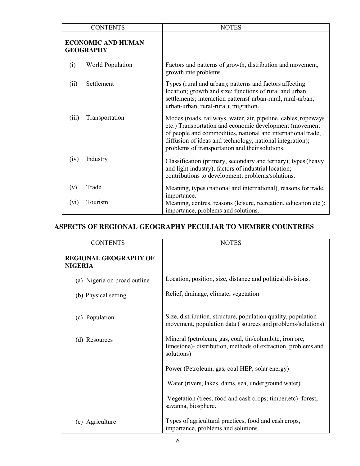|                                               | <b>CONTENTS</b>  | <b>NOTES</b>                                                                                                                                                                                                                                                                                              |
|-----------------------------------------------|------------------|-----------------------------------------------------------------------------------------------------------------------------------------------------------------------------------------------------------------------------------------------------------------------------------------------------------|
| <b>ECONOMIC AND HUMAN</b><br><b>GEOGRAPHY</b> |                  |                                                                                                                                                                                                                                                                                                           |
| (i)                                           | World Population | Factors and patterns of growth, distribution and movement,<br>growth rate problems.                                                                                                                                                                                                                       |
| (ii)                                          | Settlement       | Types (rural and urban); patterns and factors affecting<br>location; growth and size; functions of rural and urban<br>settlements; interaction patterns( urban-rural, rural-urban,<br>urban-urban, rural-rural); migration.                                                                               |
| (iii)                                         | Transportation   | Modes (roads, railways, water, air, pipeline, cables, ropeways<br>etc.) Transportation and economic development (movement<br>of people and commodities, national and international trade,<br>diffusion of ideas and technology, national integration);<br>problems of transportation and their solutions. |
| (iv)                                          | Industry         | Classification (primary, secondary and tertiary); types (heavy<br>and light industry); factors of industrial location;<br>contributions to development; problems/solutions.                                                                                                                               |
| (v)                                           | Trade            | Meaning, types (national and international), reasons for trade,                                                                                                                                                                                                                                           |
| (V1)                                          | Tourism          | importance.<br>Meaning, centres, reasons (leisure, recreation, education etc);<br>importance, problems and solutions.                                                                                                                                                                                     |

# **ASPECTS OF REGIONAL GEOGRAPHY PECULIAR TO MEMBER COUNTRIES**

| <b>CONTENTS</b>                                | <b>NOTES</b>                                                                                                                                                         |  |
|------------------------------------------------|----------------------------------------------------------------------------------------------------------------------------------------------------------------------|--|
| <b>REGIONAL GEOGRAPHY OF</b><br><b>NIGERIA</b> |                                                                                                                                                                      |  |
| (a) Nigeria on broad outline                   | Location, position, size, distance and political divisions.                                                                                                          |  |
| (b) Physical setting                           | Relief, drainage, climate, vegetation<br>Size, distribution, structure, population quality, population<br>movement, population data (sources and problems/solutions) |  |
| (c) Population                                 |                                                                                                                                                                      |  |
| (d) Resources                                  | Mineral (petroleum, gas, coal, tin/columbite, iron ore,<br>limestone)- distribution, methods of extraction, problems and<br>solutions)                               |  |
|                                                | Power (Petroleum, gas, coal HEP, solar energy)                                                                                                                       |  |
|                                                | Water (rivers, lakes, dams, sea, underground water)                                                                                                                  |  |
|                                                | Vegetation (trees, food and cash crops; timber, etc) - forest,<br>savanna, biosphere.                                                                                |  |
| Agriculture<br>(e)                             | Types of agricultural practices, food and cash crops,<br>importance, problems and solutions.                                                                         |  |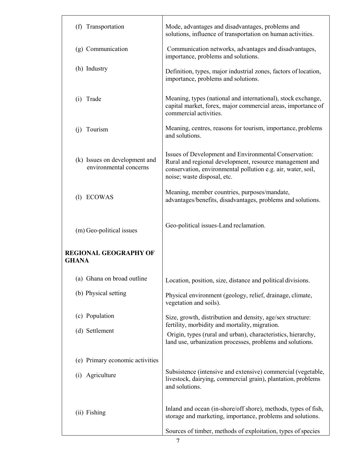| (f) Transportation                                      | Mode, advantages and disadvantages, problems and<br>solutions, influence of transportation on human activities.                                                                                                 |  |
|---------------------------------------------------------|-----------------------------------------------------------------------------------------------------------------------------------------------------------------------------------------------------------------|--|
| (g) Communication                                       | Communication networks, advantages and disadvantages,<br>importance, problems and solutions.                                                                                                                    |  |
| (h) Industry                                            | Definition, types, major industrial zones, factors of location,<br>importance, problems and solutions.                                                                                                          |  |
| (i) Trade                                               | Meaning, types (national and international), stock exchange,<br>capital market, forex, major commercial areas, importance of<br>commercial activities.                                                          |  |
| Tourism<br>(i)                                          | Meaning, centres, reasons for tourism, importance, problems<br>and solutions.                                                                                                                                   |  |
| (k) Issues on development and<br>environmental concerns | Issues of Development and Environmental Conservation:<br>Rural and regional development, resource management and<br>conservation, environmental pollution e.g. air, water, soil,<br>noise; waste disposal, etc. |  |
| (1) ECOWAS                                              | Meaning, member countries, purposes/mandate,<br>advantages/benefits, disadvantages, problems and solutions.                                                                                                     |  |
| (m) Geo-political issues                                | Geo-political issues-Land reclamation.                                                                                                                                                                          |  |
| REGIONAL GEOGRAPHY OF<br>GHANA                          |                                                                                                                                                                                                                 |  |
| (a) Ghana on broad outline                              | Location, position, size, distance and political divisions.                                                                                                                                                     |  |
| (b) Physical setting                                    | Physical environment (geology, relief, drainage, climate,<br>vegetation and soils).                                                                                                                             |  |
| (c) Population                                          | Size, growth, distribution and density, age/sex structure:<br>fertility, morbidity and mortality, migration.                                                                                                    |  |
| (d) Settlement                                          | Origin, types (rural and urban), characteristics, hierarchy,<br>land use, urbanization processes, problems and solutions.                                                                                       |  |
| (e) Primary economic activities                         |                                                                                                                                                                                                                 |  |
| Agriculture<br>(i)                                      | Subsistence (intensive and extensive) commercial (vegetable,<br>livestock, dairying, commercial grain), plantation, problems<br>and solutions.                                                                  |  |
| (ii) Fishing                                            | Inland and ocean (in-shore/off shore), methods, types of fish,<br>storage and marketing, importance, problems and solutions.                                                                                    |  |
|                                                         | Sources of timber, methods of exploitation, types of species                                                                                                                                                    |  |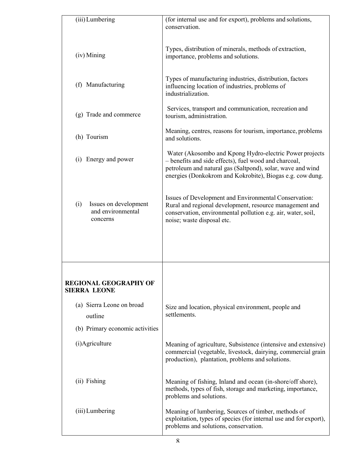| (iii) Lumbering                                               | (for internal use and for export), problems and solutions,                                                                                                                                                                                  |  |
|---------------------------------------------------------------|---------------------------------------------------------------------------------------------------------------------------------------------------------------------------------------------------------------------------------------------|--|
|                                                               | conservation.                                                                                                                                                                                                                               |  |
| (iv) Mining                                                   | Types, distribution of minerals, methods of extraction,<br>importance, problems and solutions.                                                                                                                                              |  |
| (f) Manufacturing                                             | Types of manufacturing industries, distribution, factors<br>influencing location of industries, problems of<br>industrialization.                                                                                                           |  |
| (g) Trade and commerce                                        | Services, transport and communication, recreation and<br>tourism, administration.                                                                                                                                                           |  |
| (h) Tourism                                                   | Meaning, centres, reasons for tourism, importance, problems<br>and solutions.                                                                                                                                                               |  |
| Energy and power<br>(1)                                       | Water (Akosombo and Kpong Hydro-electric Power projects<br>- benefits and side effects), fuel wood and charcoal,<br>petroleum and natural gas (Saltpond), solar, wave and wind<br>energies (Donkokrom and Kokrobite), Biogas e.g. cow dung. |  |
| Issues on development<br>(i)<br>and environmental<br>concerns | Issues of Development and Environmental Conservation:<br>Rural and regional development, resource management and<br>conservation, environmental pollution e.g. air, water, soil,<br>noise; waste disposal etc.                              |  |
|                                                               |                                                                                                                                                                                                                                             |  |
| <b>REGIONAL GEOGRAPHY OF</b><br><b>SIERRA LEONE</b>           |                                                                                                                                                                                                                                             |  |
| (a) Sierra Leone on broad<br>outline                          | Size and location, physical environment, people and<br>settlements.                                                                                                                                                                         |  |
| (b) Primary economic activities                               |                                                                                                                                                                                                                                             |  |
| (i)Agriculture                                                | Meaning of agriculture, Subsistence (intensive and extensive)<br>commercial (vegetable, livestock, dairying, commercial grain<br>production), plantation, problems and solutions.                                                           |  |
| (ii) Fishing                                                  | Meaning of fishing, Inland and ocean (in-shore/off shore),<br>methods, types of fish, storage and marketing, importance,<br>problems and solutions.                                                                                         |  |
| (iii) Lumbering                                               | Meaning of lumbering, Sources of timber, methods of<br>exploitation, types of species (for internal use and for export),<br>problems and solutions, conservation.                                                                           |  |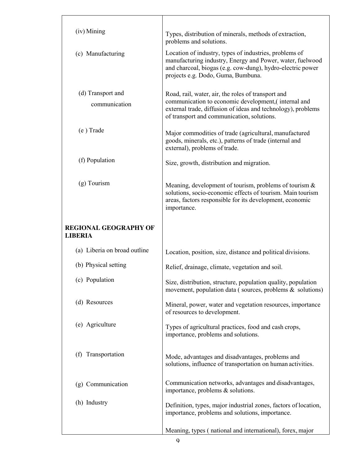| (iv) Mining                                    | Types, distribution of minerals, methods of extraction,<br>problems and solutions.                                                                                                                                      |  |
|------------------------------------------------|-------------------------------------------------------------------------------------------------------------------------------------------------------------------------------------------------------------------------|--|
| (c) Manufacturing                              | Location of industry, types of industries, problems of<br>manufacturing industry, Energy and Power, water, fuelwood<br>and charcoal, biogas (e.g. cow-dung), hydro-electric power<br>projects e.g. Dodo, Guma, Bumbuna. |  |
| (d) Transport and<br>communication             | Road, rail, water, air, the roles of transport and<br>communication to economic development,(internal and<br>external trade, diffusion of ideas and technology), problems<br>of transport and communication, solutions. |  |
| (e) Trade                                      | Major commodities of trade (agricultural, manufactured<br>goods, minerals, etc.), patterns of trade (internal and<br>external), problems of trade.                                                                      |  |
| (f) Population                                 | Size, growth, distribution and migration.                                                                                                                                                                               |  |
| $(g)$ Tourism                                  | Meaning, development of tourism, problems of tourism $\&$<br>solutions, socio-economic effects of tourism. Main tourism<br>areas, factors responsible for its development, economic<br>importance.                      |  |
| <b>REGIONAL GEOGRAPHY OF</b><br><b>LIBERIA</b> |                                                                                                                                                                                                                         |  |
| (a) Liberia on broad outline                   | Location, position, size, distance and political divisions.                                                                                                                                                             |  |
| (b) Physical setting                           | Relief, drainage, climate, vegetation and soil.                                                                                                                                                                         |  |
| (c) Population                                 | Size, distribution, structure, population quality, population<br>movement, population data (sources, problems $\&$ solutions)                                                                                           |  |
| (d) Resources                                  | Mineral, power, water and vegetation resources, importance<br>of resources to development.                                                                                                                              |  |
| (e) Agriculture                                | Types of agricultural practices, food and cash crops,<br>importance, problems and solutions.                                                                                                                            |  |
| Transportation<br>(f)                          | Mode, advantages and disadvantages, problems and<br>solutions, influence of transportation on human activities.                                                                                                         |  |
| (g) Communication                              | Communication networks, advantages and disadvantages,<br>importance, problems & solutions.                                                                                                                              |  |
| (h) Industry                                   | Definition, types, major industrial zones, factors of location,<br>importance, problems and solutions, importance.                                                                                                      |  |
|                                                | Meaning, types (national and international), forex, major                                                                                                                                                               |  |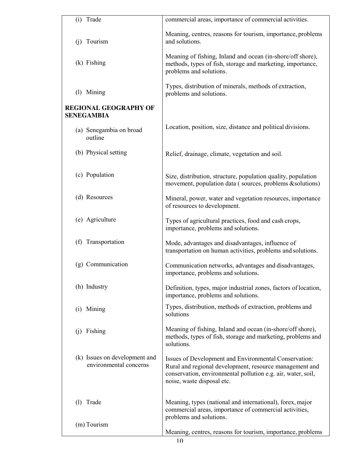|          | (i) Trade                                               | commercial areas, importance of commercial activities.                                                                                                                                                         |  |
|----------|---------------------------------------------------------|----------------------------------------------------------------------------------------------------------------------------------------------------------------------------------------------------------------|--|
|          | (j) Tourism                                             | Meaning, centres, reasons for tourism, importance, problems<br>and solutions.                                                                                                                                  |  |
|          | $(k)$ Fishing                                           | Meaning of fishing, Inland and ocean (in-shore/off shore),<br>methods, types of fish, storage and marketing, importance,<br>problems and solutions.                                                            |  |
|          | (l) Mining                                              | Types, distribution of minerals, methods of extraction,<br>problems and solutions.                                                                                                                             |  |
|          | REGIONAL GEOGRAPHY OF<br>SENEGAMBIA                     |                                                                                                                                                                                                                |  |
|          | (a) Senegambia on broad<br>outline                      | Location, position, size, distance and political divisions.                                                                                                                                                    |  |
|          | (b) Physical setting                                    | Relief, drainage, climate, vegetation and soil.                                                                                                                                                                |  |
|          | (c) Population                                          | Size, distribution, structure, population quality, population<br>movement, population data (sources, problems & solutions)                                                                                     |  |
|          | (d) Resources                                           | Mineral, power, water and vegetation resources, importance<br>of resources to development.                                                                                                                     |  |
|          | (e) Agriculture                                         | Types of agricultural practices, food and cash crops,<br>importance, problems and solutions.                                                                                                                   |  |
| (f)      | Transportation                                          | Mode, advantages and disadvantages, influence of<br>transportation on human activities, problems and solutions.                                                                                                |  |
|          | (g) Communication                                       | Communication networks, advantages and disadvantages,<br>importance, problems and solutions.                                                                                                                   |  |
|          | (h) Industry                                            | Definition, types, major industrial zones, factors of location,<br>importance, problems and solutions.                                                                                                         |  |
|          | (i) Mining                                              | Types, distribution, methods of extraction, problems and<br>solutions                                                                                                                                          |  |
| $_{(1)}$ | Fishing                                                 | Meaning of fishing, Inland and ocean (in-shore/off shore),<br>methods, types of fish, storage and marketing, problems and<br>solutions.                                                                        |  |
|          | (k) Issues on development and<br>environmental concerns | Issues of Development and Environmental Conservation:<br>Rural and regional development, resource management and<br>conservation, environmental pollution e.g. air, water, soil,<br>noise, waste disposal etc. |  |
| (1)      | Trade                                                   | Meaning, types (national and international), forex, major<br>commercial areas, importance of commercial activities,                                                                                            |  |
|          | (m) Tourism                                             | problems and solutions.<br>Meaning, centres, reasons for tourism, importance, problems                                                                                                                         |  |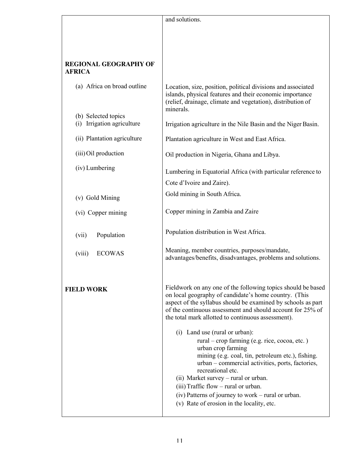|                                                                    | and solutions.                                                                                                                                                                                                                                                                                                                                                                                                         |
|--------------------------------------------------------------------|------------------------------------------------------------------------------------------------------------------------------------------------------------------------------------------------------------------------------------------------------------------------------------------------------------------------------------------------------------------------------------------------------------------------|
|                                                                    |                                                                                                                                                                                                                                                                                                                                                                                                                        |
|                                                                    |                                                                                                                                                                                                                                                                                                                                                                                                                        |
|                                                                    |                                                                                                                                                                                                                                                                                                                                                                                                                        |
| <b>REGIONAL GEOGRAPHY OF</b><br><b>AFRICA</b>                      |                                                                                                                                                                                                                                                                                                                                                                                                                        |
| (a) Africa on broad outline                                        | Location, size, position, political divisions and associated<br>islands, physical features and their economic importance<br>(relief, drainage, climate and vegetation), distribution of<br>minerals.                                                                                                                                                                                                                   |
| (b) Selected topics<br>Irrigation agriculture<br>$\left( i\right)$ | Irrigation agriculture in the Nile Basin and the Niger Basin.                                                                                                                                                                                                                                                                                                                                                          |
| (ii) Plantation agriculture                                        | Plantation agriculture in West and East Africa.                                                                                                                                                                                                                                                                                                                                                                        |
| (iii) Oil production                                               | Oil production in Nigeria, Ghana and Libya.                                                                                                                                                                                                                                                                                                                                                                            |
| (iv) Lumbering                                                     | Lumbering in Equatorial Africa (with particular reference to                                                                                                                                                                                                                                                                                                                                                           |
|                                                                    | Cote d'Ivoire and Zaire).                                                                                                                                                                                                                                                                                                                                                                                              |
| (v) Gold Mining                                                    | Gold mining in South Africa.                                                                                                                                                                                                                                                                                                                                                                                           |
| (vi) Copper mining                                                 | Copper mining in Zambia and Zaire                                                                                                                                                                                                                                                                                                                                                                                      |
|                                                                    |                                                                                                                                                                                                                                                                                                                                                                                                                        |
| (vii)<br>Population                                                | Population distribution in West Africa.                                                                                                                                                                                                                                                                                                                                                                                |
| <b>ECOWAS</b><br>(viii)                                            | Meaning, member countries, purposes/mandate,<br>advantages/benefits, disadvantages, problems and solutions.                                                                                                                                                                                                                                                                                                            |
| <b>FIELD WORK</b>                                                  | Fieldwork on any one of the following topics should be based<br>on local geography of candidate's home country. (This<br>aspect of the syllabus should be examined by schools as part<br>of the continuous assessment and should account for 25% of<br>the total mark allotted to continuous assessment).                                                                                                              |
|                                                                    | (i) Land use (rural or urban):<br>rural – crop farming (e.g. rice, cocoa, etc.)<br>urban crop farming<br>mining (e.g. coal, tin, petroleum etc.), fishing.<br>urban – commercial activities, ports, factories,<br>recreational etc.<br>(ii) Market survey – rural or urban.<br>(iii) Traffic flow – rural or urban.<br>(iv) Patterns of journey to work – rural or urban.<br>(v) Rate of erosion in the locality, etc. |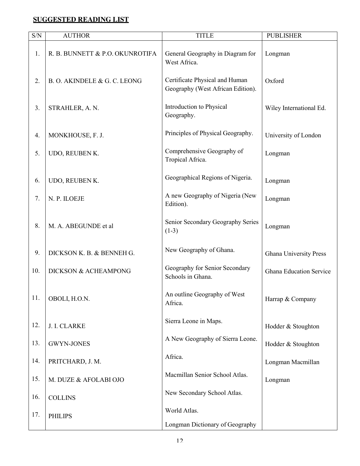# **SUGGESTED READING LIST**

| S/N | <b>AUTHOR</b>                   | <b>TITLE</b>                                                        | <b>PUBLISHER</b>               |
|-----|---------------------------------|---------------------------------------------------------------------|--------------------------------|
| 1.  | R. B. BUNNETT & P.O. OKUNROTIFA | General Geography in Diagram for<br>West Africa.                    | Longman                        |
| 2.  | B. O. AKINDELE & G. C. LEONG    | Certificate Physical and Human<br>Geography (West African Edition). | Oxford                         |
| 3.  | STRAHLER, A. N.                 | Introduction to Physical<br>Geography.                              | Wiley International Ed.        |
| 4.  | MONKHOUSE, F. J.                | Principles of Physical Geography.                                   | University of London           |
| 5.  | UDO, REUBEN K.                  | Comprehensive Geography of<br>Tropical Africa.                      | Longman                        |
| 6.  | UDO, REUBEN K.                  | Geographical Regions of Nigeria.                                    | Longman                        |
| 7.  | N. P. ILOEJE                    | A new Geography of Nigeria (New<br>Edition).                        | Longman                        |
| 8.  | M. A. ABEGUNDE et al            | Senior Secondary Geography Series<br>$(1-3)$                        | Longman                        |
| 9.  | DICKSON K. B. & BENNEH G.       | New Geography of Ghana.                                             | Ghana University Press         |
| 10. | DICKSON & ACHEAMPONG            | Geography for Senior Secondary<br>Schools in Ghana.                 | <b>Ghana Education Service</b> |
| 11. | OBOLI, H.O.N.                   | An outline Geography of West<br>Africa.                             | Harrap & Company               |
| 12. | J. I. CLARKE                    | Sierra Leone in Maps.                                               | Hodder & Stoughton             |
| 13. | <b>GWYN-JONES</b>               | A New Geography of Sierra Leone.                                    | Hodder & Stoughton             |
| 14. | PRITCHARD, J. M.                | Africa.                                                             | Longman Macmillan              |
| 15. | M. DUZE & AFOLABI OJO           | Macmillan Senior School Atlas.                                      | Longman                        |
| 16. | <b>COLLINS</b>                  | New Secondary School Atlas.                                         |                                |
| 17. | <b>PHILIPS</b>                  | World Atlas.                                                        |                                |
|     |                                 | Longman Dictionary of Geography                                     |                                |